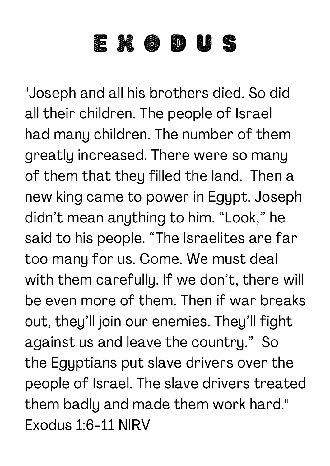## E X O D U S

"Joseph and all his brothers died. So did all their children. The people of Israel had many children. The number of them greatly increased. There were so many of them that they filled the land. Then a new king came to power in Egypt. Joseph didn't mean anything to him. "Look, " he said to his people. "The Israelites are far too many for us. Come. We must deal with them carefully. If we don't, there will be even more of them. Then if war breaks out, they'll join our enemies. They'll fight against us and leave the country." So the Egyptians put slave drivers over the people of Israel. The slave drivers treated them badly and made them work hard." Exodus 1:6-11 NIRV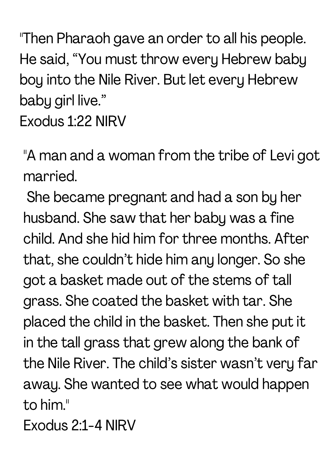"Then Pharaoh gave an order to all his people. He said, "You must throw every Hebrew baby boy into the Nile River. But let every Hebrew baby girl live."

Exodus 1:22 NIRV

"A man and a woman from the tribe of Levi got married.

She became pregnant and had a son by her husband. She saw that her baby was a fine child. And she hid him for three months. After that, she couldn't hide him any longer. So she got a basket made out of the stems of tall grass. She coated the basket with tar. She placed the child in the basket. Then she put it in the tall grass that grew along the bank of the Nile River. The child's sister wasn't very far away. She wanted to see what would happen to him."

Exodus 2:1-4 NIRV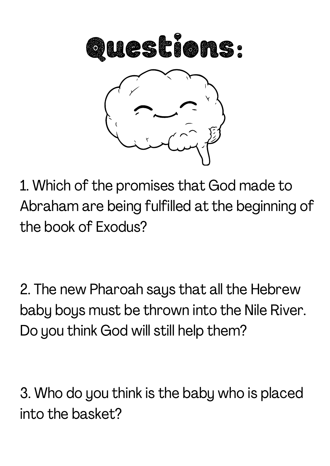

1. Which of the promises that God made to Abraham are being fulfilled at the beginning of the book of Exodus?

2. The new Pharoah says that all the Hebrew baby boys must be thrown into the Nile River. Do you think God will still help them?

3. Who do you think is the baby who is placed into the basket?